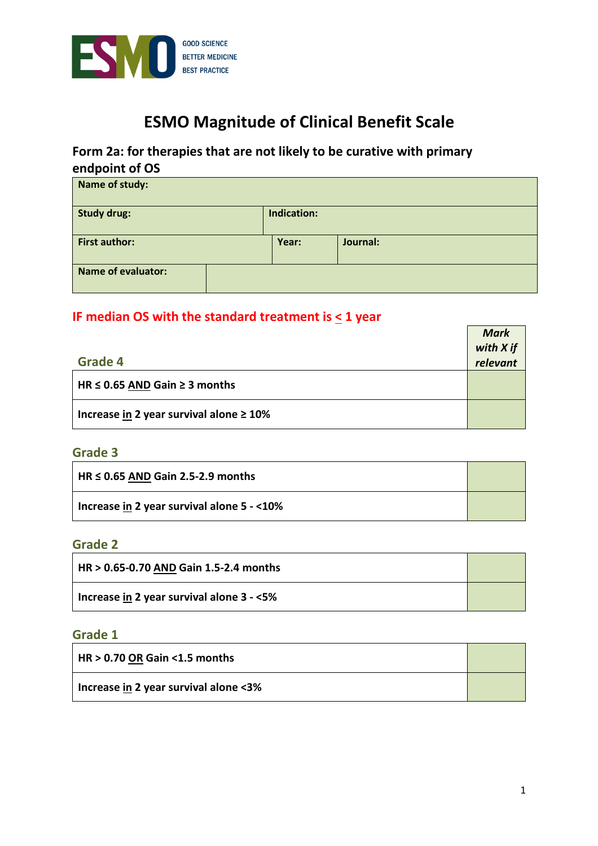

# **ESMO Magnitude of Clinical Benefit Scale**

## **Form 2a: for therapies that are not likely to be curative with primary endpoint of OS**

| Name of study:                    |  |       |          |  |
|-----------------------------------|--|-------|----------|--|
| <b>Study drug:</b><br>Indication: |  |       |          |  |
| <b>First author:</b>              |  | Year: | Journal: |  |
| <b>Name of evaluator:</b>         |  |       |          |  |

## **IF median OS with the standard treatment is < 1 year**

|                                               | <b>Mark</b> |
|-----------------------------------------------|-------------|
|                                               | with X if   |
| Grade 4                                       | relevant    |
| HR $\leq$ 0.65 AND Gain $\geq$ 3 months       |             |
| Increase in 2 year survival alone $\geq 10\%$ |             |

#### **Grade 3**

| $H$ HR $\leq$ 0.65 AND Gain 2.5-2.9 months |  |
|--------------------------------------------|--|
| Increase in 2 year survival alone 5 - <10% |  |

#### **Grade 2**

| $\frac{1}{1}$ HR > 0.65-0.70 AND Gain 1.5-2.4 months |  |
|------------------------------------------------------|--|
| Increase in 2 year survival alone 3 - <5%            |  |

## **Grade 1**

| HR > 0.70 OR Gain <1.5 months         |  |
|---------------------------------------|--|
| Increase in 2 year survival alone <3% |  |

 $\overline{ }$ 

 $\overline{\phantom{0}}$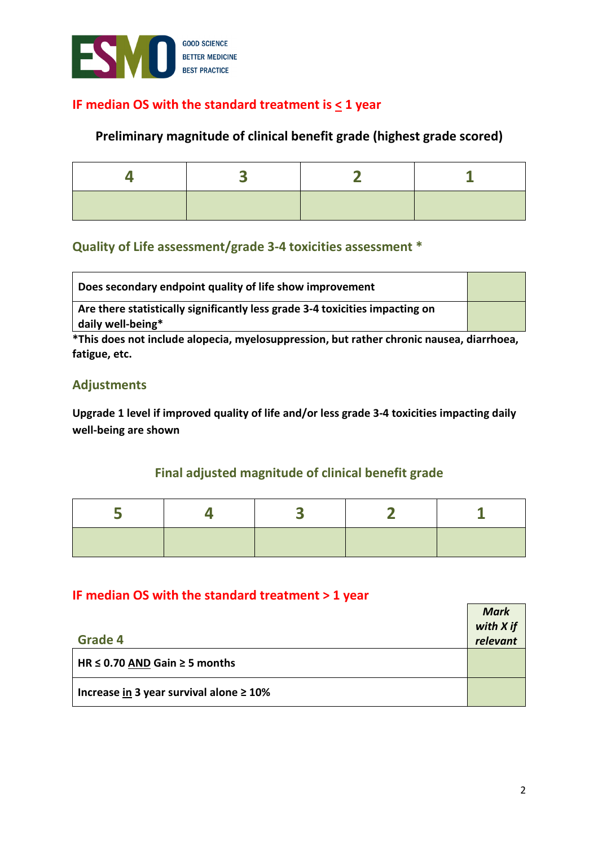

## **IF median OS with the standard treatment is < 1 year**

## **Preliminary magnitude of clinical benefit grade (highest grade scored)**

## **Quality of Life assessment/grade 3-4 toxicities assessment \***

| Does secondary endpoint quality of life show improvement                     |  |
|------------------------------------------------------------------------------|--|
| Are there statistically significantly less grade 3-4 toxicities impacting on |  |
| daily well-being*                                                            |  |

**\*This does not include alopecia, myelosuppression, but rather chronic nausea, diarrhoea, fatigue, etc.** 

## **Adjustments**

**Upgrade 1 level if improved quality of life and/or less grade 3-4 toxicities impacting daily well-being are shown** 

## **Final adjusted magnitude of clinical benefit grade**

#### **IF median OS with the standard treatment > 1 year**

|                                               | <b>Mark</b> |
|-----------------------------------------------|-------------|
|                                               | with X if   |
| Grade 4                                       | relevant    |
| HR $\leq$ 0.70 AND Gain $\geq$ 5 months       |             |
| Increase in 3 year survival alone $\geq 10\%$ |             |